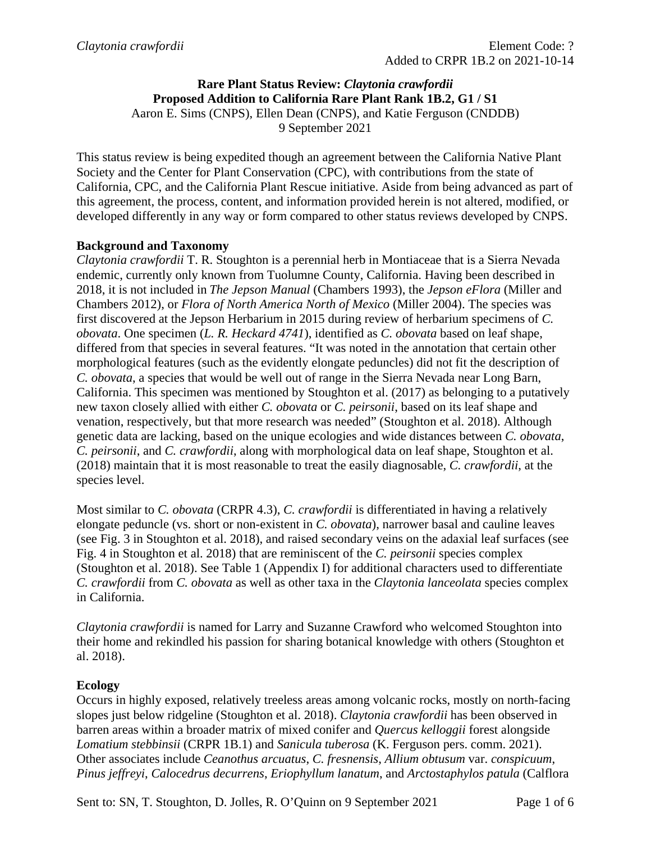#### **Rare Plant Status Review:** *Claytonia crawfordii* **Proposed Addition to California Rare Plant Rank 1B.2, G1 / S1** Aaron E. Sims (CNPS), Ellen Dean (CNPS), and Katie Ferguson (CNDDB) 9 September 2021

This status review is being expedited though an agreement between the California Native Plant Society and the Center for Plant Conservation (CPC), with contributions from the state of California, CPC, and the California Plant Rescue initiative. Aside from being advanced as part of this agreement, the process, content, and information provided herein is not altered, modified, or developed differently in any way or form compared to other status reviews developed by CNPS.

### **Background and Taxonomy**

*Claytonia crawfordii* T. R. Stoughton is a perennial herb in Montiaceae that is a Sierra Nevada endemic, currently only known from Tuolumne County, California. Having been described in 2018, it is not included in *The Jepson Manual* (Chambers 1993), the *Jepson eFlora* (Miller and Chambers 2012), or *Flora of North America North of Mexico* (Miller 2004). The species was first discovered at the Jepson Herbarium in 2015 during review of herbarium specimens of *C. obovata*. One specimen (*L. R. Heckard 4741*), identified as *C. obovata* based on leaf shape, differed from that species in several features. "It was noted in the annotation that certain other morphological features (such as the evidently elongate peduncles) did not fit the description of *C. obovata*, a species that would be well out of range in the Sierra Nevada near Long Barn, California. This specimen was mentioned by Stoughton et al. (2017) as belonging to a putatively new taxon closely allied with either *C. obovata* or *C. peirsonii*, based on its leaf shape and venation, respectively, but that more research was needed" (Stoughton et al. 2018). Although genetic data are lacking, based on the unique ecologies and wide distances between *C. obovata*, *C. peirsonii*, and *C. crawfordii*, along with morphological data on leaf shape, Stoughton et al. (2018) maintain that it is most reasonable to treat the easily diagnosable, *C. crawfordii*, at the species level.

Most similar to *C. obovata* (CRPR 4.3), *C. crawfordii* is differentiated in having a relatively elongate peduncle (vs. short or non-existent in *C. obovata*), narrower basal and cauline leaves (see Fig. 3 in Stoughton et al. 2018), and raised secondary veins on the adaxial leaf surfaces (see Fig. 4 in Stoughton et al. 2018) that are reminiscent of the *C. peirsonii* species complex (Stoughton et al. 2018). See Table 1 (Appendix I) for additional characters used to differentiate *C. crawfordii* from *C. obovata* as well as other taxa in the *Claytonia lanceolata* species complex in California.

*Claytonia crawfordii* is named for Larry and Suzanne Crawford who welcomed Stoughton into their home and rekindled his passion for sharing botanical knowledge with others (Stoughton et al. 2018).

### **Ecology**

Occurs in highly exposed, relatively treeless areas among volcanic rocks, mostly on north-facing slopes just below ridgeline (Stoughton et al. 2018). *Claytonia crawfordii* has been observed in barren areas within a broader matrix of mixed conifer and *Quercus kelloggii* forest alongside *Lomatium stebbinsii* (CRPR 1B.1) and *Sanicula tuberosa* (K. Ferguson pers. comm. 2021). Other associates include *Ceanothus arcuatus*, *C. fresnensis*, *Allium obtusum* var. *conspicuum*, *Pinus jeffreyi*, *Calocedrus decurrens*, *Eriophyllum lanatum*, and *Arctostaphylos patula* (Calflora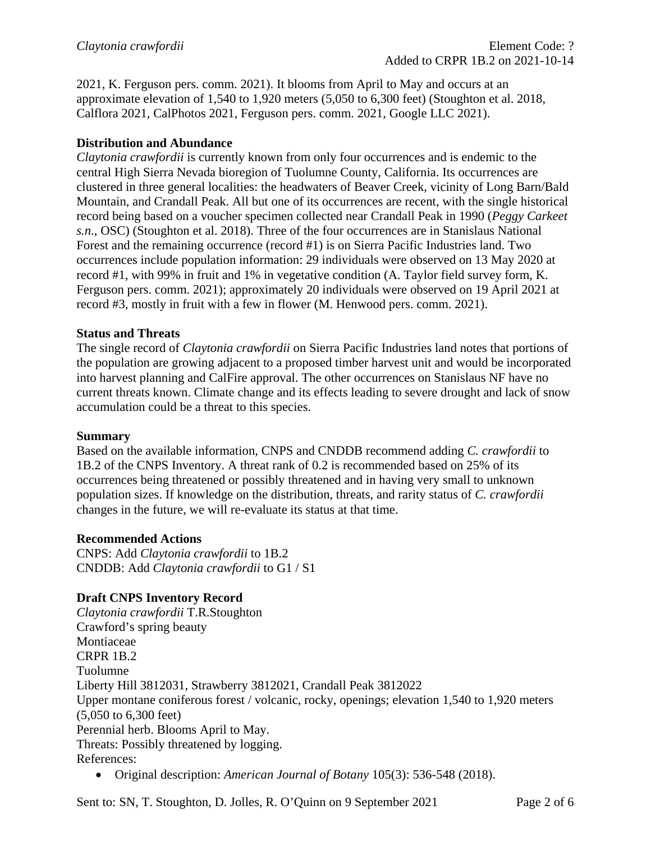2021, K. Ferguson pers. comm. 2021). It blooms from April to May and occurs at an approximate elevation of 1,540 to 1,920 meters (5,050 to 6,300 feet) (Stoughton et al. 2018, Calflora 2021, CalPhotos 2021, Ferguson pers. comm. 2021, Google LLC 2021).

## **Distribution and Abundance**

*Claytonia crawfordii* is currently known from only four occurrences and is endemic to the central High Sierra Nevada bioregion of Tuolumne County, California. Its occurrences are clustered in three general localities: the headwaters of Beaver Creek, vicinity of Long Barn/Bald Mountain, and Crandall Peak. All but one of its occurrences are recent, with the single historical record being based on a voucher specimen collected near Crandall Peak in 1990 (*Peggy Carkeet s.n.*, OSC) (Stoughton et al. 2018). Three of the four occurrences are in Stanislaus National Forest and the remaining occurrence (record #1) is on Sierra Pacific Industries land. Two occurrences include population information: 29 individuals were observed on 13 May 2020 at record #1, with 99% in fruit and 1% in vegetative condition (A. Taylor field survey form, K. Ferguson pers. comm. 2021); approximately 20 individuals were observed on 19 April 2021 at record #3, mostly in fruit with a few in flower (M. Henwood pers. comm. 2021).

### **Status and Threats**

The single record of *Claytonia crawfordii* on Sierra Pacific Industries land notes that portions of the population are growing adjacent to a proposed timber harvest unit and would be incorporated into harvest planning and CalFire approval. The other occurrences on Stanislaus NF have no current threats known. Climate change and its effects leading to severe drought and lack of snow accumulation could be a threat to this species.

#### **Summary**

Based on the available information, CNPS and CNDDB recommend adding *C. crawfordii* to 1B.2 of the CNPS Inventory. A threat rank of 0.2 is recommended based on 25% of its occurrences being threatened or possibly threatened and in having very small to unknown population sizes. If knowledge on the distribution, threats, and rarity status of *C. crawfordii*  changes in the future, we will re-evaluate its status at that time.

### **Recommended Actions**

CNPS: Add *Claytonia crawfordii* to 1B.2 CNDDB: Add *Claytonia crawfordii* to G1 / S1

### **Draft CNPS Inventory Record**

*Claytonia crawfordii* T.R.Stoughton Crawford's spring beauty Montiaceae CRPR 1B.2 Tuolumne Liberty Hill 3812031, Strawberry 3812021, Crandall Peak 3812022 Upper montane coniferous forest / volcanic, rocky, openings; elevation 1,540 to 1,920 meters (5,050 to 6,300 feet) Perennial herb. Blooms April to May. Threats: Possibly threatened by logging. References:

• Original description: *American Journal of Botany* 105(3): 536-548 (2018).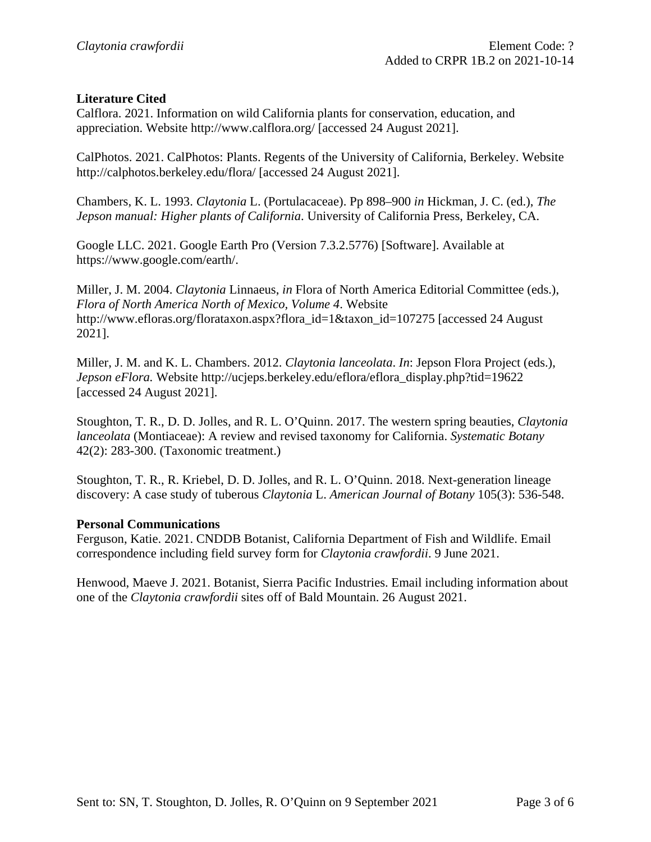#### **Literature Cited**

Calflora. 2021. Information on wild California plants for conservation, education, and appreciation. Website http://www.calflora.org/ [accessed 24 August 2021].

CalPhotos. 2021. CalPhotos: Plants. Regents of the University of California, Berkeley. Website http://calphotos.berkeley.edu/flora/ [accessed 24 August 2021].

Chambers, K. L. 1993. *Claytonia* L. (Portulacaceae). Pp 898–900 *in* Hickman, J. C. (ed.), *The Jepson manual: Higher plants of California*. University of California Press, Berkeley, CA.

Google LLC. 2021. Google Earth Pro (Version 7.3.2.5776) [Software]. Available at https://www.google.com/earth/.

Miller, J. M. 2004. *Claytonia* Linnaeus, *in* Flora of North America Editorial Committee (eds.), *Flora of North America North of Mexico, Volume 4*. Website http://www.efloras.org/florataxon.aspx?flora\_id=1&taxon\_id=107275 [accessed 24 August] 2021].

Miller, J. M. and K. L. Chambers. 2012. *Claytonia lanceolata*. *In*: Jepson Flora Project (eds.), *Jepson eFlora.* Website http://ucjeps.berkeley.edu/eflora/eflora\_display.php?tid=19622 [accessed 24 August 2021].

Stoughton, T. R., D. D. Jolles, and R. L. O'Quinn. 2017. The western spring beauties, *Claytonia lanceolata* (Montiaceae): A review and revised taxonomy for California. *Systematic Botany* 42(2): 283-300. (Taxonomic treatment.)

Stoughton, T. R., R. Kriebel, D. D. Jolles, and R. L. O'Quinn. 2018. Next-generation lineage discovery: A case study of tuberous *Claytonia* L. *American Journal of Botany* 105(3): 536-548.

#### **Personal Communications**

Ferguson, Katie. 2021. CNDDB Botanist, California Department of Fish and Wildlife. Email correspondence including field survey form for *Claytonia crawfordii*. 9 June 2021.

Henwood, Maeve J. 2021. Botanist, Sierra Pacific Industries. Email including information about one of the *Claytonia crawfordii* sites off of Bald Mountain. 26 August 2021.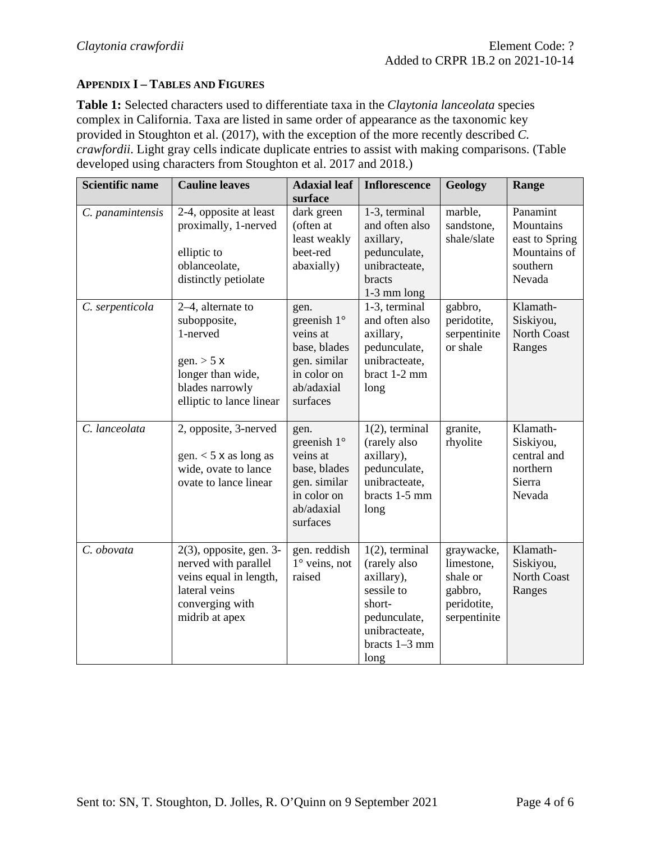### **APPENDIX I – TABLES AND FIGURES**

**Table 1:** Selected characters used to differentiate taxa in the *Claytonia lanceolata* species complex in California. Taxa are listed in same order of appearance as the taxonomic key provided in Stoughton et al. (2017), with the exception of the more recently described *C. crawfordii*. Light gray cells indicate duplicate entries to assist with making comparisons. (Table developed using characters from Stoughton et al. 2017 and 2018.)

| <b>Scientific name</b>              | <b>Cauline leaves</b>                                                                                                                                                                        | <b>Adaxial leaf</b>                                                                                                                                                   | <b>Inflorescence</b>                                                                                                                                                                                    | Geology                                                                                    | Range                                                                                                                                  |
|-------------------------------------|----------------------------------------------------------------------------------------------------------------------------------------------------------------------------------------------|-----------------------------------------------------------------------------------------------------------------------------------------------------------------------|---------------------------------------------------------------------------------------------------------------------------------------------------------------------------------------------------------|--------------------------------------------------------------------------------------------|----------------------------------------------------------------------------------------------------------------------------------------|
| C. panamintensis<br>C. serpenticola | 2-4, opposite at least<br>proximally, 1-nerved<br>elliptic to<br>oblanceolate,<br>distinctly petiolate<br>2-4, alternate to<br>subopposite,<br>1-nerved<br>gen. $>$ 5 x<br>longer than wide, | surface<br>dark green<br>(often at<br>least weakly<br>beet-red<br>abaxially)<br>gen.<br>greenish $1^\circ$<br>veins at<br>base, blades<br>gen. similar<br>in color on | 1-3, terminal<br>and often also<br>axillary,<br>pedunculate,<br>unibracteate,<br>bracts<br>1-3 mm long<br>1-3, terminal<br>and often also<br>axillary,<br>pedunculate,<br>unibracteate,<br>bract 1-2 mm | marble,<br>sandstone,<br>shale/slate<br>gabbro,<br>peridotite,<br>serpentinite<br>or shale | Panamint<br>Mountains<br>east to Spring<br>Mountains of<br>southern<br>Nevada<br>Klamath-<br>Siskiyou,<br><b>North Coast</b><br>Ranges |
| C. lanceolata                       | blades narrowly<br>elliptic to lance linear<br>2, opposite, 3-nerved<br>gen. $<$ 5 x as long as<br>wide, ovate to lance<br>ovate to lance linear                                             | ab/adaxial<br>surfaces<br>gen.<br>greenish $1^\circ$<br>veins at<br>base, blades<br>gen. similar<br>in color on<br>ab/adaxial<br>surfaces                             | long<br>$1(2)$ , terminal<br>(rarely also<br>axillary),<br>pedunculate,<br>unibracteate,<br>bracts 1-5 mm<br>long                                                                                       | granite,<br>rhyolite                                                                       | Klamath-<br>Siskiyou,<br>central and<br>northern<br>Sierra<br>Nevada                                                                   |
| C. obovata                          | $2(3)$ , opposite, gen. 3-<br>nerved with parallel<br>veins equal in length,<br>lateral veins<br>converging with<br>midrib at apex                                                           | gen. reddish<br>$1^\circ$ veins, not<br>raised                                                                                                                        | $1(2)$ , terminal<br>(rarely also<br>axillary),<br>sessile to<br>short-<br>pedunculate,<br>unibracteate,<br>bracts $1-3$ mm<br>long                                                                     | graywacke,<br>limestone,<br>shale or<br>gabbro,<br>peridotite,<br>serpentinite             | Klamath-<br>Siskiyou,<br><b>North Coast</b><br>Ranges                                                                                  |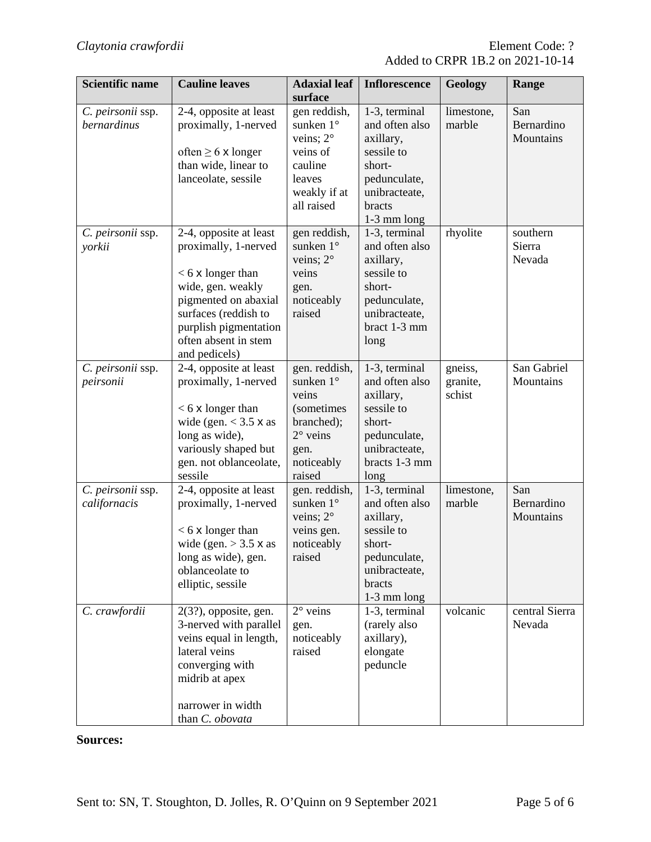| <b>Scientific name</b>            | <b>Cauline leaves</b>                                                                                                                                                                                        | <b>Adaxial leaf</b><br>surface                                                                                                      | <b>Inflorescence</b>                                                                                                             | Geology                       | Range                          |
|-----------------------------------|--------------------------------------------------------------------------------------------------------------------------------------------------------------------------------------------------------------|-------------------------------------------------------------------------------------------------------------------------------------|----------------------------------------------------------------------------------------------------------------------------------|-------------------------------|--------------------------------|
| C. peirsonii ssp.<br>bernardinus  | 2-4, opposite at least<br>proximally, 1-nerved<br>often $\geq 6$ x longer<br>than wide, linear to<br>lanceolate, sessile                                                                                     | gen reddish,<br>sunken 1°<br>veins; $2^{\circ}$<br>veins of<br>cauline<br>leaves<br>weakly if at<br>all raised                      | 1-3, terminal<br>and often also<br>axillary,<br>sessile to<br>short-<br>pedunculate,<br>unibracteate,<br>bracts<br>$1-3$ mm long | limestone,<br>marble          | San<br>Bernardino<br>Mountains |
| C. peirsonii ssp.<br>yorkii       | 2-4, opposite at least<br>proximally, 1-nerved<br>$< 6$ x longer than<br>wide, gen. weakly<br>pigmented on abaxial<br>surfaces (reddish to<br>purplish pigmentation<br>often absent in stem<br>and pedicels) | gen reddish,<br>sunken 1°<br>veins; 2°<br>veins<br>gen.<br>noticeably<br>raised                                                     | 1-3, terminal<br>and often also<br>axillary,<br>sessile to<br>short-<br>pedunculate,<br>unibracteate,<br>bract 1-3 mm<br>long    | rhyolite                      | southern<br>Sierra<br>Nevada   |
| C. peirsonii ssp.<br>peirsonii    | 2-4, opposite at least<br>proximally, 1-nerved<br>$< 6$ x longer than<br>wide (gen. $<$ 3.5 $\times$ as<br>long as wide),<br>variously shaped but<br>gen. not oblanceolate,<br>sessile                       | gen. reddish,<br>sunken $1^\circ$<br>veins<br><i>(sometimes)</i><br>branched);<br>$2^{\circ}$ veins<br>gen.<br>noticeably<br>raised | 1-3, terminal<br>and often also<br>axillary,<br>sessile to<br>short-<br>pedunculate,<br>unibracteate,<br>bracts 1-3 mm<br>long   | gneiss,<br>granite,<br>schist | San Gabriel<br>Mountains       |
| C. peirsonii ssp.<br>californacis | 2-4, opposite at least<br>proximally, 1-nerved<br>$< 6 \times$ longer than<br>wide (gen. $>$ 3.5 $\times$ as<br>long as wide), gen.<br>oblanceolate to<br>elliptic, sessile                                  | gen. reddish,<br>sunken 1°<br>veins; $2^{\circ}$<br>veins gen.<br>noticeably<br>raised                                              | 1-3, terminal<br>and often also<br>axillary,<br>sessile to<br>short-<br>pedunculate,<br>unibracteate,<br>bracts<br>$1-3$ mm long | limestone,<br>marble          | San<br>Bernardino<br>Mountains |
| C. crawfordii                     | $2(3?)$ , opposite, gen.<br>3-nerved with parallel<br>veins equal in length,<br>lateral veins<br>converging with<br>midrib at apex<br>narrower in width<br>than C. obovata                                   | $2^{\circ}$ veins<br>gen.<br>noticeably<br>raised                                                                                   | 1-3, terminal<br>(rarely also<br>axillary),<br>elongate<br>peduncle                                                              | volcanic                      | central Sierra<br>Nevada       |

# **Sources:**